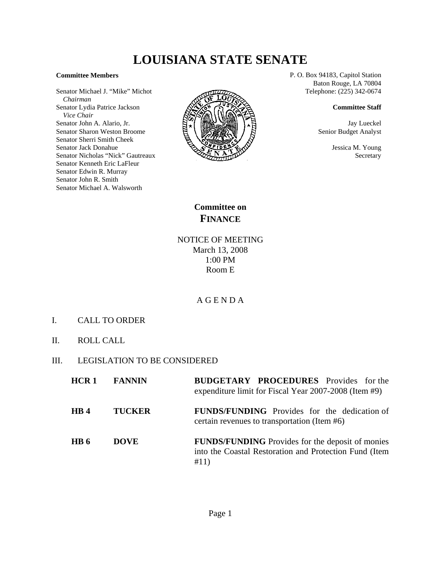# **LOUISIANA STATE SENATE**

#### **Committee Members**

Senator Michael J. "Mike" Michot  *Chairman* Senator Lydia Patrice Jackson  *Vice Chair* Senator John A. Alario, Jr. Senator Sharon Weston Broome Senator Sherri Smith Cheek Senator Jack Donahue Senator Nicholas "Nick" Gautreaux Senator Kenneth Eric LaFleur Senator Edwin R. Murray Senator John R. Smith Senator Michael A. Walsworth



P. O. Box 94183, Capitol Station Baton Rouge, LA 70804 Telephone: (225) 342-0674

### **Committee Staff**

Jay Lueckel Senior Budget Analyst

> Jessica M. Young Secretary

**Committee on FINANCE**

## NOTICE OF MEETING March 13, 2008 1:00 PM Room E

## A G E N D A

- I. CALL TO ORDER
- II. ROLL CALL
- III. LEGISLATION TO BE CONSIDERED

| HCR1            | <b>FANNIN</b> | <b>BUDGETARY PROCEDURES</b> Provides for the<br>expenditure limit for Fiscal Year 2007-2008 (Item #9)                     |
|-----------------|---------------|---------------------------------------------------------------------------------------------------------------------------|
| HB <sub>4</sub> | <b>TUCKER</b> | <b>FUNDS/FUNDING</b> Provides for the dedication of<br>certain revenues to transportation (Item #6)                       |
| HB 6            | <b>DOVE</b>   | <b>FUNDS/FUNDING</b> Provides for the deposit of monies<br>into the Coastal Restoration and Protection Fund (Item<br>#11) |